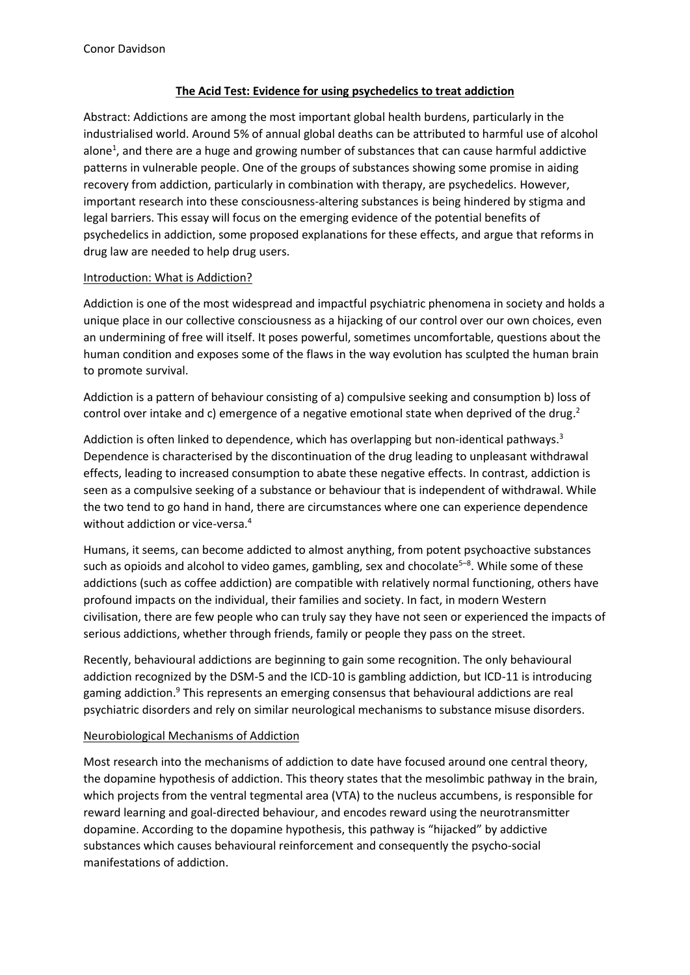# **The Acid Test: Evidence for using psychedelics to treat addiction**

Abstract: Addictions are among the most important global health burdens, particularly in the industrialised world. Around 5% of annual global deaths can be attributed to harmful use of alcohol alone<sup>1</sup>, and there are a huge and growing number of substances that can cause harmful addictive patterns in vulnerable people. One of the groups of substances showing some promise in aiding recovery from addiction, particularly in combination with therapy, are psychedelics. However, important research into these consciousness-altering substances is being hindered by stigma and legal barriers. This essay will focus on the emerging evidence of the potential benefits of psychedelics in addiction, some proposed explanations for these effects, and argue that reforms in drug law are needed to help drug users.

## Introduction: What is Addiction?

Addiction is one of the most widespread and impactful psychiatric phenomena in society and holds a unique place in our collective consciousness as a hijacking of our control over our own choices, even an undermining of free will itself. It poses powerful, sometimes uncomfortable, questions about the human condition and exposes some of the flaws in the way evolution has sculpted the human brain to promote survival.

Addiction is a pattern of behaviour consisting of a) compulsive seeking and consumption b) loss of control over intake and c) emergence of a negative emotional state when deprived of the drug.<sup>2</sup>

Addiction is often linked to dependence, which has overlapping but non-identical pathways.<sup>3</sup> Dependence is characterised by the discontinuation of the drug leading to unpleasant withdrawal effects, leading to increased consumption to abate these negative effects. In contrast, addiction is seen as a compulsive seeking of a substance or behaviour that is independent of withdrawal. While the two tend to go hand in hand, there are circumstances where one can experience dependence without addiction or vice-versa.<sup>4</sup>

Humans, it seems, can become addicted to almost anything, from potent psychoactive substances such as opioids and alcohol to video games, gambling, sex and chocolate<sup>5-8</sup>. While some of these addictions (such as coffee addiction) are compatible with relatively normal functioning, others have profound impacts on the individual, their families and society. In fact, in modern Western civilisation, there are few people who can truly say they have not seen or experienced the impacts of serious addictions, whether through friends, family or people they pass on the street.

Recently, behavioural addictions are beginning to gain some recognition. The only behavioural addiction recognized by the DSM-5 and the ICD-10 is gambling addiction, but ICD-11 is introducing gaming addiction.<sup>9</sup> This represents an emerging consensus that behavioural addictions are real psychiatric disorders and rely on similar neurological mechanisms to substance misuse disorders.

## Neurobiological Mechanisms of Addiction

Most research into the mechanisms of addiction to date have focused around one central theory, the dopamine hypothesis of addiction. This theory states that the mesolimbic pathway in the brain, which projects from the ventral tegmental area (VTA) to the nucleus accumbens, is responsible for reward learning and goal-directed behaviour, and encodes reward using the neurotransmitter dopamine. According to the dopamine hypothesis, this pathway is "hijacked" by addictive substances which causes behavioural reinforcement and consequently the psycho-social manifestations of addiction.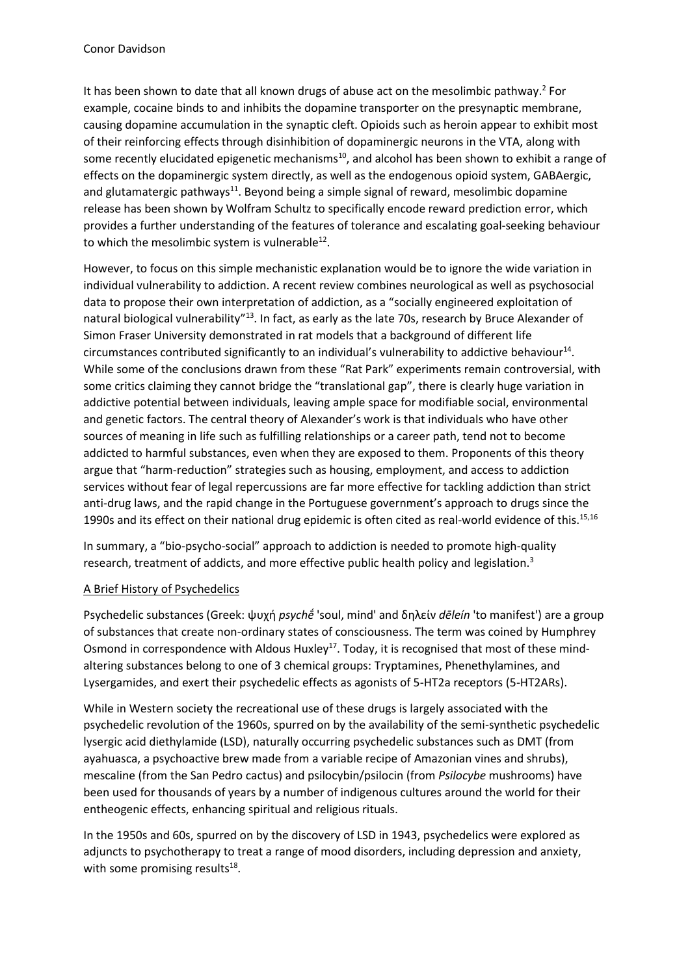It has been shown to date that all known drugs of abuse act on the mesolimbic pathway.<sup>2</sup> For example, cocaine binds to and inhibits the dopamine transporter on the presynaptic membrane, causing dopamine accumulation in the synaptic cleft. Opioids such as heroin appear to exhibit most of their reinforcing effects through disinhibition of dopaminergic neurons in the VTA, along with some recently elucidated epigenetic mechanisms<sup>10</sup>, and alcohol has been shown to exhibit a range of effects on the dopaminergic system directly, as well as the endogenous opioid system, GABAergic, and glutamatergic pathways<sup>11</sup>. Beyond being a simple signal of reward, mesolimbic dopamine release has been shown by Wolfram Schultz to specifically encode reward prediction error, which provides a further understanding of the features of tolerance and escalating goal-seeking behaviour to which the mesolimbic system is vulnerable $^{12}$ .

However, to focus on this simple mechanistic explanation would be to ignore the wide variation in individual vulnerability to addiction. A recent review combines neurological as well as psychosocial data to propose their own interpretation of addiction, as a "socially engineered exploitation of natural biological vulnerability"<sup>13</sup>. In fact, as early as the late 70s, research by Bruce Alexander of Simon Fraser University demonstrated in rat models that a background of different life circumstances contributed significantly to an individual's vulnerability to addictive behaviour<sup>14</sup>. While some of the conclusions drawn from these "Rat Park" experiments remain controversial, with some critics claiming they cannot bridge the "translational gap", there is clearly huge variation in addictive potential between individuals, leaving ample space for modifiable social, environmental and genetic factors. The central theory of Alexander's work is that individuals who have other sources of meaning in life such as fulfilling relationships or a career path, tend not to become addicted to harmful substances, even when they are exposed to them. Proponents of this theory argue that "harm-reduction" strategies such as housing, employment, and access to addiction services without fear of legal repercussions are far more effective for tackling addiction than strict anti-drug laws, and the rapid change in the Portuguese government's approach to drugs since the 1990s and its effect on their national drug epidemic is often cited as real-world evidence of this.<sup>15,16</sup>

In summary, a "bio-psycho-social" approach to addiction is needed to promote high-quality research, treatment of addicts, and more effective public health policy and legislation.<sup>3</sup>

## A Brief History of Psychedelics

Psychedelic substances (Greek: ψυχή *psychḗ* 'soul, mind' and δηλείν *dēleín* 'to manifest') are a group of substances that create non-ordinary states of consciousness. The term was coined by Humphrey Osmond in correspondence with Aldous Huxley<sup>17</sup>. Today, it is recognised that most of these mindaltering substances belong to one of 3 chemical groups: Tryptamines, Phenethylamines, and Lysergamides, and exert their psychedelic effects as agonists of 5-HT2a receptors (5-HT2ARs).

While in Western society the recreational use of these drugs is largely associated with the psychedelic revolution of the 1960s, spurred on by the availability of the semi-synthetic psychedelic lysergic acid diethylamide (LSD), naturally occurring psychedelic substances such as DMT (from ayahuasca, a psychoactive brew made from a variable recipe of Amazonian vines and shrubs), mescaline (from the San Pedro cactus) and psilocybin/psilocin (from *Psilocybe* mushrooms) have been used for thousands of years by a number of indigenous cultures around the world for their entheogenic effects, enhancing spiritual and religious rituals.

In the 1950s and 60s, spurred on by the discovery of LSD in 1943, psychedelics were explored as adjuncts to psychotherapy to treat a range of mood disorders, including depression and anxiety, with some promising results<sup>18</sup>.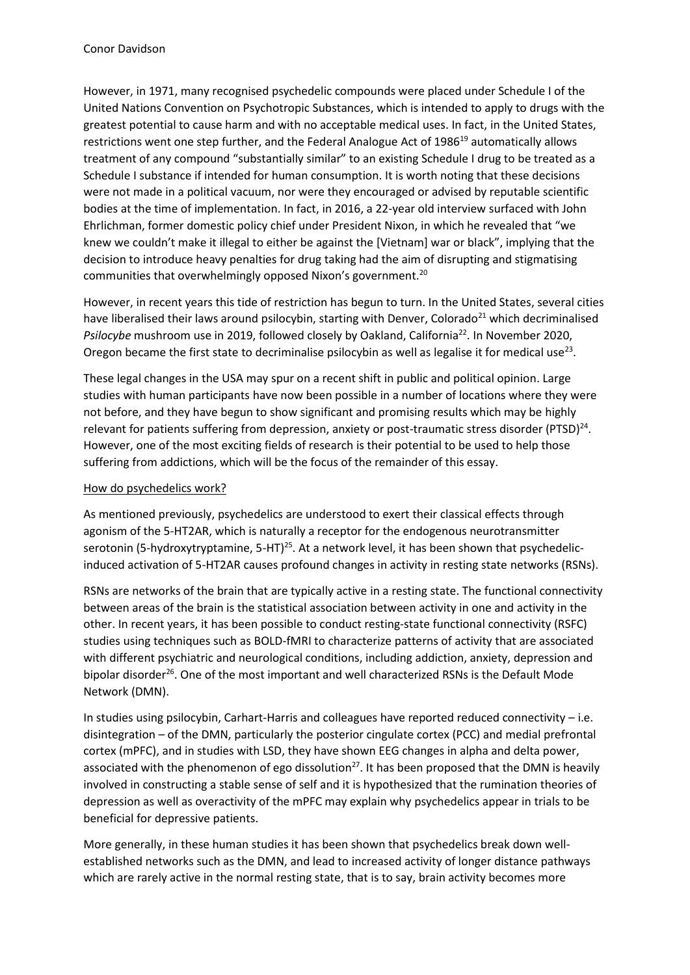However, in 1971, many recognised psychedelic compounds were placed under Schedule I of the United Nations Convention on Psychotropic Substances, which is intended to apply to drugs with the greatest potential to cause harm and with no acceptable medical uses. In fact, in the United States, restrictions went one step further, and the Federal Analogue Act of 1986<sup>19</sup> automatically allows treatment of any compound "substantially similar" to an existing Schedule I drug to be treated as a Schedule I substance if intended for human consumption. It is worth noting that these decisions were not made in a political vacuum, nor were they encouraged or advised by reputable scientific bodies at the time of implementation. In fact, in 2016, a 22-year old interview surfaced with John Ehrlichman, former domestic policy chief under President Nixon, in which he revealed that "we knew we couldn't make it illegal to either be against the [Vietnam] war or black", implying that the decision to introduce heavy penalties for drug taking had the aim of disrupting and stigmatising communities that overwhelmingly opposed Nixon's government.<sup>20</sup>

However, in recent years this tide of restriction has begun to turn. In the United States, several cities have liberalised their laws around psilocybin, starting with Denver, Colorado<sup>21</sup> which decriminalised *Psilocybe* mushroom use in 2019, followed closely by Oakland, California<sup>22</sup>. In November 2020, Oregon became the first state to decriminalise psilocybin as well as legalise it for medical use<sup>23</sup>.

These legal changes in the USA may spur on a recent shift in public and political opinion. Large studies with human participants have now been possible in a number of locations where they were not before, and they have begun to show significant and promising results which may be highly relevant for patients suffering from depression, anxiety or post-traumatic stress disorder (PTSD)<sup>24</sup>. However, one of the most exciting fields of research is their potential to be used to help those suffering from addictions, which will be the focus of the remainder of this essay.

# How do psychedelics work?

As mentioned previously, psychedelics are understood to exert their classical effects through agonism of the 5-HT2AR, which is naturally a receptor for the endogenous neurotransmitter serotonin (5-hydroxytryptamine, 5-HT)<sup>25</sup>. At a network level, it has been shown that psychedelicinduced activation of 5-HT2AR causes profound changes in activity in resting state networks (RSNs).

RSNs are networks of the brain that are typically active in a resting state. The functional connectivity between areas of the brain is the statistical association between activity in one and activity in the other. In recent years, it has been possible to conduct resting-state functional connectivity (RSFC) studies using techniques such as BOLD-fMRI to characterize patterns of activity that are associated with different psychiatric and neurological conditions, including addiction, anxiety, depression and bipolar disorder<sup>26</sup>. One of the most important and well characterized RSNs is the Default Mode Network (DMN).

In studies using psilocybin, Carhart-Harris and colleagues have reported reduced connectivity – i.e. disintegration – of the DMN, particularly the posterior cingulate cortex (PCC) and medial prefrontal cortex (mPFC), and in studies with LSD, they have shown EEG changes in alpha and delta power, associated with the phenomenon of ego dissolution<sup>27</sup>. It has been proposed that the DMN is heavily involved in constructing a stable sense of self and it is hypothesized that the rumination theories of depression as well as overactivity of the mPFC may explain why psychedelics appear in trials to be beneficial for depressive patients.

More generally, in these human studies it has been shown that psychedelics break down wellestablished networks such as the DMN, and lead to increased activity of longer distance pathways which are rarely active in the normal resting state, that is to say, brain activity becomes more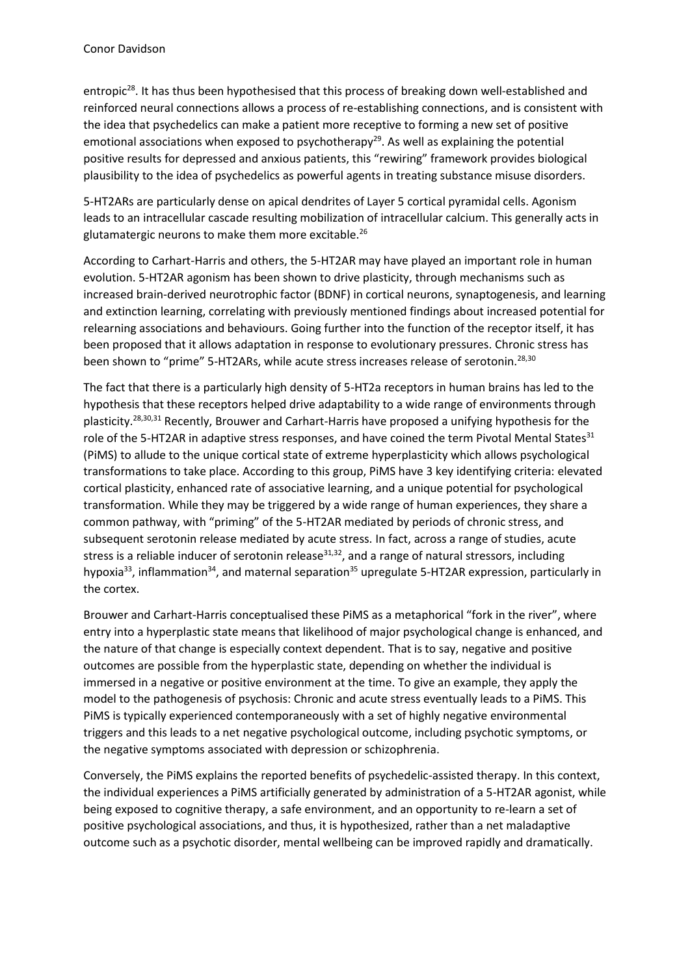entropic<sup>28</sup>. It has thus been hypothesised that this process of breaking down well-established and reinforced neural connections allows a process of re-establishing connections, and is consistent with the idea that psychedelics can make a patient more receptive to forming a new set of positive emotional associations when exposed to psychotherapy<sup>29</sup>. As well as explaining the potential positive results for depressed and anxious patients, this "rewiring" framework provides biological plausibility to the idea of psychedelics as powerful agents in treating substance misuse disorders.

5-HT2ARs are particularly dense on apical dendrites of Layer 5 cortical pyramidal cells. Agonism leads to an intracellular cascade resulting mobilization of intracellular calcium. This generally acts in glutamatergic neurons to make them more excitable.<sup>26</sup>

According to Carhart-Harris and others, the 5-HT2AR may have played an important role in human evolution. 5-HT2AR agonism has been shown to drive plasticity, through mechanisms such as increased brain-derived neurotrophic factor (BDNF) in cortical neurons, synaptogenesis, and learning and extinction learning, correlating with previously mentioned findings about increased potential for relearning associations and behaviours. Going further into the function of the receptor itself, it has been proposed that it allows adaptation in response to evolutionary pressures. Chronic stress has been shown to "prime" 5-HT2ARs, while acute stress increases release of serotonin.<sup>28,30</sup>

The fact that there is a particularly high density of 5-HT2a receptors in human brains has led to the hypothesis that these receptors helped drive adaptability to a wide range of environments through plasticity.28,30,31 Recently, Brouwer and Carhart-Harris have proposed a unifying hypothesis for the role of the 5-HT2AR in adaptive stress responses, and have coined the term Pivotal Mental States<sup>31</sup> (PiMS) to allude to the unique cortical state of extreme hyperplasticity which allows psychological transformations to take place. According to this group, PiMS have 3 key identifying criteria: elevated cortical plasticity, enhanced rate of associative learning, and a unique potential for psychological transformation. While they may be triggered by a wide range of human experiences, they share a common pathway, with "priming" of the 5-HT2AR mediated by periods of chronic stress, and subsequent serotonin release mediated by acute stress. In fact, across a range of studies, acute stress is a reliable inducer of serotonin release $31,32$ , and a range of natural stressors, including hypoxia<sup>33</sup>, inflammation<sup>34</sup>, and maternal separation<sup>35</sup> upregulate 5-HT2AR expression, particularly in the cortex.

Brouwer and Carhart-Harris conceptualised these PiMS as a metaphorical "fork in the river", where entry into a hyperplastic state means that likelihood of major psychological change is enhanced, and the nature of that change is especially context dependent. That is to say, negative and positive outcomes are possible from the hyperplastic state, depending on whether the individual is immersed in a negative or positive environment at the time. To give an example, they apply the model to the pathogenesis of psychosis: Chronic and acute stress eventually leads to a PiMS. This PiMS is typically experienced contemporaneously with a set of highly negative environmental triggers and this leads to a net negative psychological outcome, including psychotic symptoms, or the negative symptoms associated with depression or schizophrenia.

Conversely, the PiMS explains the reported benefits of psychedelic-assisted therapy. In this context, the individual experiences a PiMS artificially generated by administration of a 5-HT2AR agonist, while being exposed to cognitive therapy, a safe environment, and an opportunity to re-learn a set of positive psychological associations, and thus, it is hypothesized, rather than a net maladaptive outcome such as a psychotic disorder, mental wellbeing can be improved rapidly and dramatically.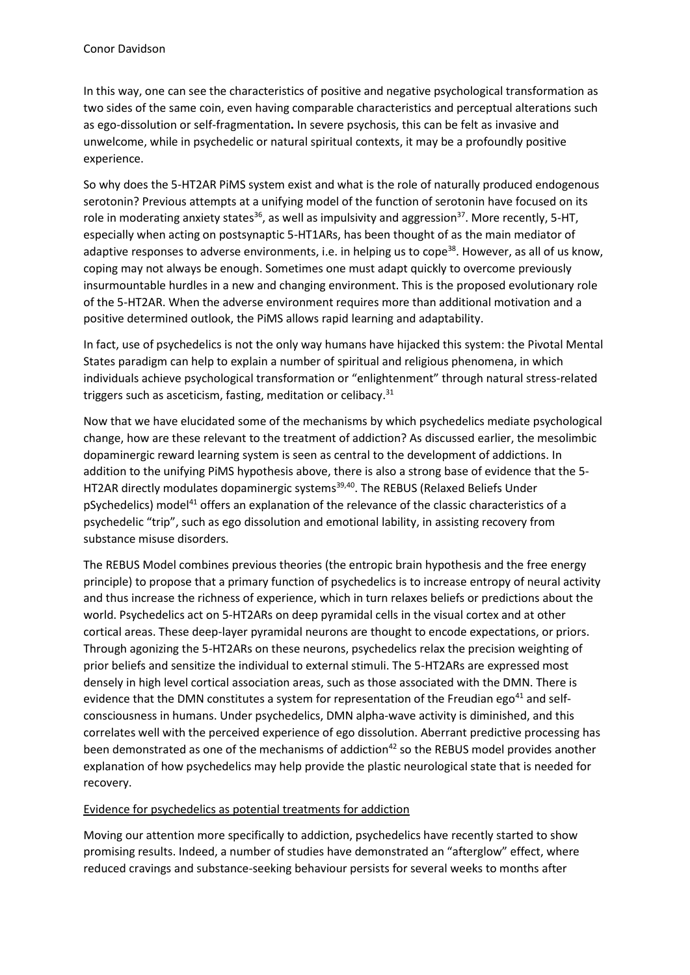In this way, one can see the characteristics of positive and negative psychological transformation as two sides of the same coin, even having comparable characteristics and perceptual alterations such as ego-dissolution or self-fragmentation**.** In severe psychosis, this can be felt as invasive and unwelcome, while in psychedelic or natural spiritual contexts, it may be a profoundly positive experience.

So why does the 5-HT2AR PiMS system exist and what is the role of naturally produced endogenous serotonin? Previous attempts at a unifying model of the function of serotonin have focused on its role in moderating anxiety states<sup>36</sup>, as well as impulsivity and aggression<sup>37</sup>. More recently, 5-HT, especially when acting on postsynaptic 5-HT1ARs, has been thought of as the main mediator of adaptive responses to adverse environments, i.e. in helping us to cope<sup>38</sup>. However, as all of us know, coping may not always be enough. Sometimes one must adapt quickly to overcome previously insurmountable hurdles in a new and changing environment. This is the proposed evolutionary role of the 5-HT2AR. When the adverse environment requires more than additional motivation and a positive determined outlook, the PiMS allows rapid learning and adaptability.

In fact, use of psychedelics is not the only way humans have hijacked this system: the Pivotal Mental States paradigm can help to explain a number of spiritual and religious phenomena, in which individuals achieve psychological transformation or "enlightenment" through natural stress-related triggers such as asceticism, fasting, meditation or celibacy.<sup>31</sup>

Now that we have elucidated some of the mechanisms by which psychedelics mediate psychological change, how are these relevant to the treatment of addiction? As discussed earlier, the mesolimbic dopaminergic reward learning system is seen as central to the development of addictions. In addition to the unifying PiMS hypothesis above, there is also a strong base of evidence that the 5- HT2AR directly modulates dopaminergic systems<sup>39,40</sup>. The REBUS (Relaxed Beliefs Under pSychedelics) model<sup>41</sup> offers an explanation of the relevance of the classic characteristics of a psychedelic "trip", such as ego dissolution and emotional lability, in assisting recovery from substance misuse disorders.

The REBUS Model combines previous theories (the entropic brain hypothesis and the free energy principle) to propose that a primary function of psychedelics is to increase entropy of neural activity and thus increase the richness of experience, which in turn relaxes beliefs or predictions about the world. Psychedelics act on 5-HT2ARs on deep pyramidal cells in the visual cortex and at other cortical areas. These deep-layer pyramidal neurons are thought to encode expectations, or priors. Through agonizing the 5-HT2ARs on these neurons, psychedelics relax the precision weighting of prior beliefs and sensitize the individual to external stimuli. The 5-HT2ARs are expressed most densely in high level cortical association areas, such as those associated with the DMN. There is evidence that the DMN constitutes a system for representation of the Freudian ego<sup>41</sup> and selfconsciousness in humans. Under psychedelics, DMN alpha-wave activity is diminished, and this correlates well with the perceived experience of ego dissolution. Aberrant predictive processing has been demonstrated as one of the mechanisms of addiction<sup>42</sup> so the REBUS model provides another explanation of how psychedelics may help provide the plastic neurological state that is needed for recovery.

## Evidence for psychedelics as potential treatments for addiction

Moving our attention more specifically to addiction, psychedelics have recently started to show promising results. Indeed, a number of studies have demonstrated an "afterglow" effect, where reduced cravings and substance-seeking behaviour persists for several weeks to months after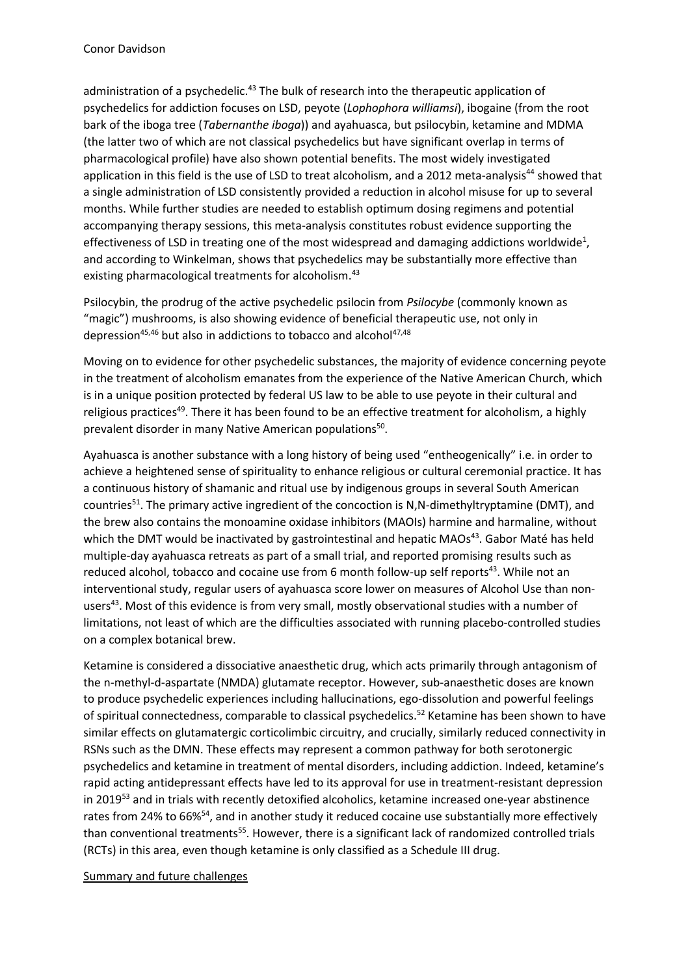administration of a psychedelic.<sup>43</sup> The bulk of research into the therapeutic application of psychedelics for addiction focuses on LSD, peyote (*Lophophora williamsi*), ibogaine (from the root bark of the iboga tree (*Tabernanthe iboga*)) and ayahuasca, but psilocybin, ketamine and MDMA (the latter two of which are not classical psychedelics but have significant overlap in terms of pharmacological profile) have also shown potential benefits. The most widely investigated application in this field is the use of LSD to treat alcoholism, and a 2012 meta-analysis<sup>44</sup> showed that a single administration of LSD consistently provided a reduction in alcohol misuse for up to several months. While further studies are needed to establish optimum dosing regimens and potential accompanying therapy sessions, this meta-analysis constitutes robust evidence supporting the effectiveness of LSD in treating one of the most widespread and damaging addictions worldwide<sup>1</sup>, and according to Winkelman, shows that psychedelics may be substantially more effective than existing pharmacological treatments for alcoholism.<sup>43</sup>

Psilocybin, the prodrug of the active psychedelic psilocin from *Psilocybe* (commonly known as "magic") mushrooms, is also showing evidence of beneficial therapeutic use, not only in depression<sup>45,46</sup> but also in addictions to tobacco and alcohol<sup>47,48</sup>

Moving on to evidence for other psychedelic substances, the majority of evidence concerning peyote in the treatment of alcoholism emanates from the experience of the Native American Church, which is in a unique position protected by federal US law to be able to use peyote in their cultural and religious practices<sup>49</sup>. There it has been found to be an effective treatment for alcoholism, a highly prevalent disorder in many Native American populations<sup>50</sup>.

Ayahuasca is another substance with a long history of being used "entheogenically" i.e. in order to achieve a heightened sense of spirituality to enhance religious or cultural ceremonial practice. It has a continuous history of shamanic and ritual use by indigenous groups in several South American countries<sup>51</sup>. The primary active ingredient of the concoction is N,N-dimethyltryptamine (DMT), and the brew also contains the monoamine oxidase inhibitors (MAOIs) harmine and harmaline, without which the DMT would be inactivated by gastrointestinal and hepatic MAOs<sup>43</sup>. Gabor Maté has held multiple-day ayahuasca retreats as part of a small trial, and reported promising results such as reduced alcohol, tobacco and cocaine use from 6 month follow-up self reports<sup>43</sup>. While not an interventional study, regular users of ayahuasca score lower on measures of Alcohol Use than nonusers<sup>43</sup>. Most of this evidence is from very small, mostly observational studies with a number of limitations, not least of which are the difficulties associated with running placebo-controlled studies on a complex botanical brew.

Ketamine is considered a dissociative anaesthetic drug, which acts primarily through antagonism of the n-methyl-d-aspartate (NMDA) glutamate receptor. However, sub-anaesthetic doses are known to produce psychedelic experiences including hallucinations, ego-dissolution and powerful feelings of spiritual connectedness, comparable to classical psychedelics.<sup>52</sup> Ketamine has been shown to have similar effects on glutamatergic corticolimbic circuitry, and crucially, similarly reduced connectivity in RSNs such as the DMN. These effects may represent a common pathway for both serotonergic psychedelics and ketamine in treatment of mental disorders, including addiction. Indeed, ketamine's rapid acting antidepressant effects have led to its approval for use in treatment-resistant depression in 2019<sup>53</sup> and in trials with recently detoxified alcoholics, ketamine increased one-year abstinence rates from 24% to 66%<sup>54</sup>, and in another study it reduced cocaine use substantially more effectively than conventional treatments<sup>55</sup>. However, there is a significant lack of randomized controlled trials (RCTs) in this area, even though ketamine is only classified as a Schedule III drug.

Summary and future challenges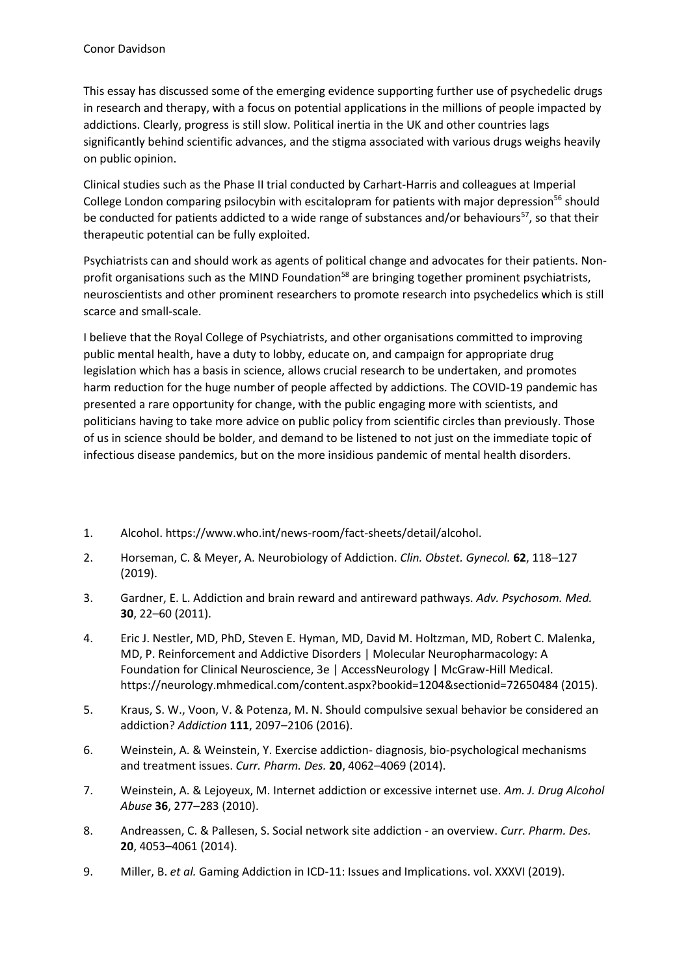This essay has discussed some of the emerging evidence supporting further use of psychedelic drugs in research and therapy, with a focus on potential applications in the millions of people impacted by addictions. Clearly, progress is still slow. Political inertia in the UK and other countries lags significantly behind scientific advances, and the stigma associated with various drugs weighs heavily on public opinion.

Clinical studies such as the Phase II trial conducted by Carhart-Harris and colleagues at Imperial College London comparing psilocybin with escitalopram for patients with major depression<sup>56</sup> should be conducted for patients addicted to a wide range of substances and/or behaviours<sup>57</sup>, so that their therapeutic potential can be fully exploited.

Psychiatrists can and should work as agents of political change and advocates for their patients. Nonprofit organisations such as the MIND Foundation<sup>58</sup> are bringing together prominent psychiatrists, neuroscientists and other prominent researchers to promote research into psychedelics which is still scarce and small-scale.

I believe that the Royal College of Psychiatrists, and other organisations committed to improving public mental health, have a duty to lobby, educate on, and campaign for appropriate drug legislation which has a basis in science, allows crucial research to be undertaken, and promotes harm reduction for the huge number of people affected by addictions. The COVID-19 pandemic has presented a rare opportunity for change, with the public engaging more with scientists, and politicians having to take more advice on public policy from scientific circles than previously. Those of us in science should be bolder, and demand to be listened to not just on the immediate topic of infectious disease pandemics, but on the more insidious pandemic of mental health disorders.

- 1. Alcohol. https://www.who.int/news-room/fact-sheets/detail/alcohol.
- 2. Horseman, C. & Meyer, A. Neurobiology of Addiction. *Clin. Obstet. Gynecol.* **62**, 118–127 (2019).
- 3. Gardner, E. L. Addiction and brain reward and antireward pathways. *Adv. Psychosom. Med.* **30**, 22–60 (2011).
- 4. Eric J. Nestler, MD, PhD, Steven E. Hyman, MD, David M. Holtzman, MD, Robert C. Malenka, MD, P. Reinforcement and Addictive Disorders | Molecular Neuropharmacology: A Foundation for Clinical Neuroscience, 3e | AccessNeurology | McGraw-Hill Medical. https://neurology.mhmedical.com/content.aspx?bookid=1204&sectionid=72650484 (2015).
- 5. Kraus, S. W., Voon, V. & Potenza, M. N. Should compulsive sexual behavior be considered an addiction? *Addiction* **111**, 2097–2106 (2016).
- 6. Weinstein, A. & Weinstein, Y. Exercise addiction- diagnosis, bio-psychological mechanisms and treatment issues. *Curr. Pharm. Des.* **20**, 4062–4069 (2014).
- 7. Weinstein, A. & Lejoyeux, M. Internet addiction or excessive internet use. *Am. J. Drug Alcohol Abuse* **36**, 277–283 (2010).
- 8. Andreassen, C. & Pallesen, S. Social network site addiction an overview. *Curr. Pharm. Des.* **20**, 4053–4061 (2014).
- 9. Miller, B. *et al.* Gaming Addiction in ICD-11: Issues and Implications. vol. XXXVI (2019).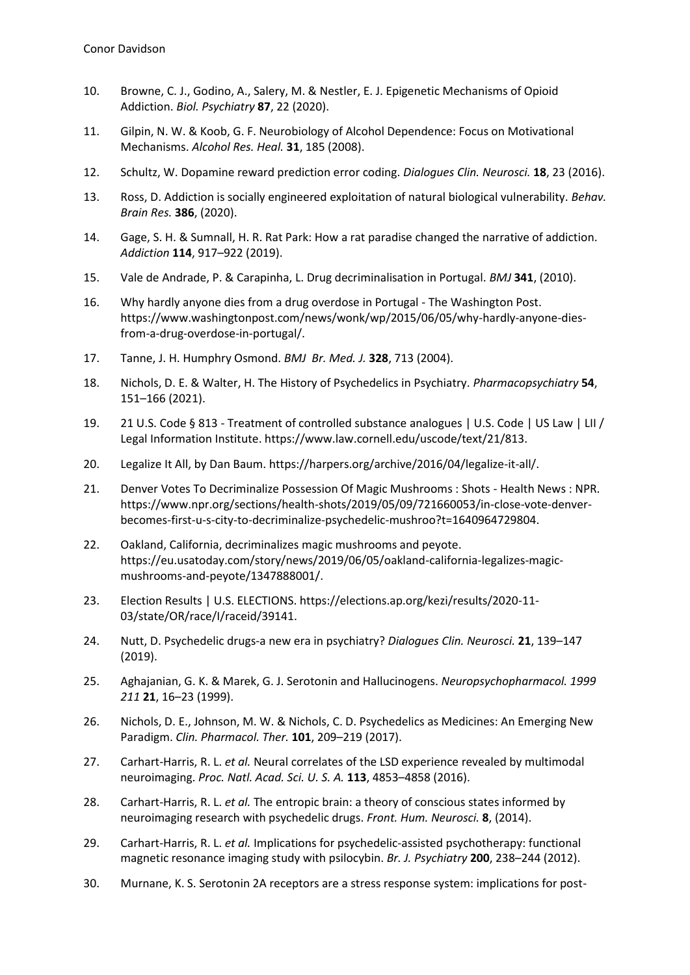- 10. Browne, C. J., Godino, A., Salery, M. & Nestler, E. J. Epigenetic Mechanisms of Opioid Addiction. *Biol. Psychiatry* **87**, 22 (2020).
- 11. Gilpin, N. W. & Koob, G. F. Neurobiology of Alcohol Dependence: Focus on Motivational Mechanisms. *Alcohol Res. Heal.* **31**, 185 (2008).
- 12. Schultz, W. Dopamine reward prediction error coding. *Dialogues Clin. Neurosci.* **18**, 23 (2016).
- 13. Ross, D. Addiction is socially engineered exploitation of natural biological vulnerability. *Behav. Brain Res.* **386**, (2020).
- 14. Gage, S. H. & Sumnall, H. R. Rat Park: How a rat paradise changed the narrative of addiction. *Addiction* **114**, 917–922 (2019).
- 15. Vale de Andrade, P. & Carapinha, L. Drug decriminalisation in Portugal. *BMJ* **341**, (2010).
- 16. Why hardly anyone dies from a drug overdose in Portugal The Washington Post. https://www.washingtonpost.com/news/wonk/wp/2015/06/05/why-hardly-anyone-diesfrom-a-drug-overdose-in-portugal/.
- 17. Tanne, J. H. Humphry Osmond. *BMJ Br. Med. J.* **328**, 713 (2004).
- 18. Nichols, D. E. & Walter, H. The History of Psychedelics in Psychiatry. *Pharmacopsychiatry* **54**, 151–166 (2021).
- 19. 21 U.S. Code § 813 Treatment of controlled substance analogues | U.S. Code | US Law | LII / Legal Information Institute. https://www.law.cornell.edu/uscode/text/21/813.
- 20. Legalize It All, by Dan Baum. https://harpers.org/archive/2016/04/legalize-it-all/.
- 21. Denver Votes To Decriminalize Possession Of Magic Mushrooms : Shots Health News : NPR. https://www.npr.org/sections/health-shots/2019/05/09/721660053/in-close-vote-denverbecomes-first-u-s-city-to-decriminalize-psychedelic-mushroo?t=1640964729804.
- 22. Oakland, California, decriminalizes magic mushrooms and peyote. https://eu.usatoday.com/story/news/2019/06/05/oakland-california-legalizes-magicmushrooms-and-peyote/1347888001/.
- 23. Election Results | U.S. ELECTIONS. https://elections.ap.org/kezi/results/2020-11- 03/state/OR/race/I/raceid/39141.
- 24. Nutt, D. Psychedelic drugs-a new era in psychiatry? *Dialogues Clin. Neurosci.* **21**, 139–147 (2019).
- 25. Aghajanian, G. K. & Marek, G. J. Serotonin and Hallucinogens. *Neuropsychopharmacol. 1999 211* **21**, 16–23 (1999).
- 26. Nichols, D. E., Johnson, M. W. & Nichols, C. D. Psychedelics as Medicines: An Emerging New Paradigm. *Clin. Pharmacol. Ther.* **101**, 209–219 (2017).
- 27. Carhart-Harris, R. L. *et al.* Neural correlates of the LSD experience revealed by multimodal neuroimaging. *Proc. Natl. Acad. Sci. U. S. A.* **113**, 4853–4858 (2016).
- 28. Carhart-Harris, R. L. *et al.* The entropic brain: a theory of conscious states informed by neuroimaging research with psychedelic drugs. *Front. Hum. Neurosci.* **8**, (2014).
- 29. Carhart-Harris, R. L. *et al.* Implications for psychedelic-assisted psychotherapy: functional magnetic resonance imaging study with psilocybin. *Br. J. Psychiatry* **200**, 238–244 (2012).
- 30. Murnane, K. S. Serotonin 2A receptors are a stress response system: implications for post-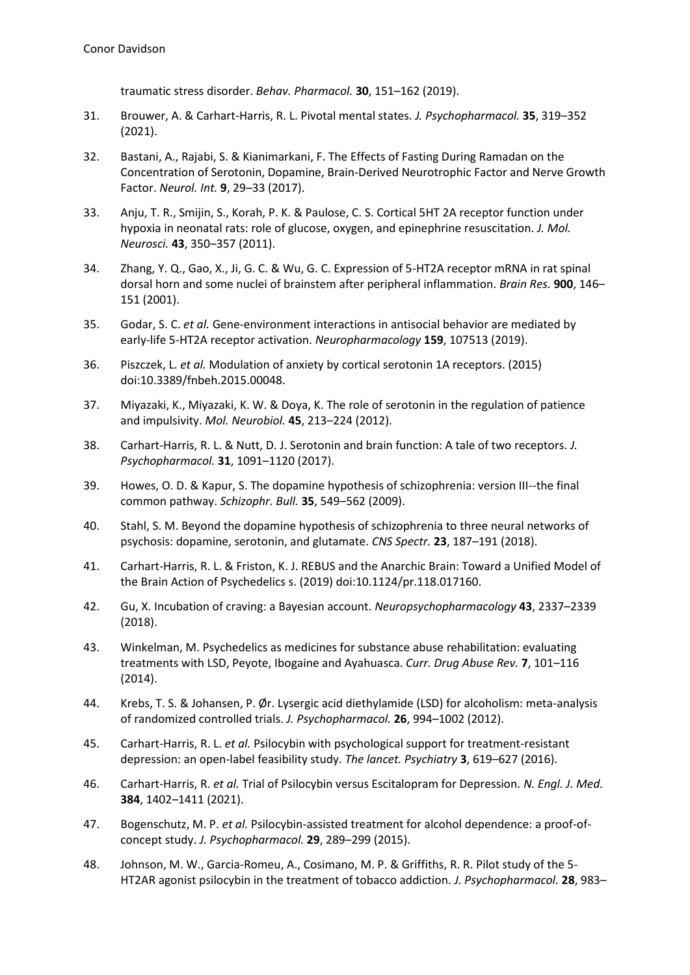traumatic stress disorder. *Behav. Pharmacol.* **30**, 151–162 (2019).

- 31. Brouwer, A. & Carhart-Harris, R. L. Pivotal mental states. *J. Psychopharmacol.* **35**, 319–352 (2021).
- 32. Bastani, A., Rajabi, S. & Kianimarkani, F. The Effects of Fasting During Ramadan on the Concentration of Serotonin, Dopamine, Brain-Derived Neurotrophic Factor and Nerve Growth Factor. *Neurol. Int.* **9**, 29–33 (2017).
- 33. Anju, T. R., Smijin, S., Korah, P. K. & Paulose, C. S. Cortical 5HT 2A receptor function under hypoxia in neonatal rats: role of glucose, oxygen, and epinephrine resuscitation. *J. Mol. Neurosci.* **43**, 350–357 (2011).
- 34. Zhang, Y. Q., Gao, X., Ji, G. C. & Wu, G. C. Expression of 5-HT2A receptor mRNA in rat spinal dorsal horn and some nuclei of brainstem after peripheral inflammation. *Brain Res.* **900**, 146– 151 (2001).
- 35. Godar, S. C. *et al.* Gene-environment interactions in antisocial behavior are mediated by early-life 5-HT2A receptor activation. *Neuropharmacology* **159**, 107513 (2019).
- 36. Piszczek, L. *et al.* Modulation of anxiety by cortical serotonin 1A receptors. (2015) doi:10.3389/fnbeh.2015.00048.
- 37. Miyazaki, K., Miyazaki, K. W. & Doya, K. The role of serotonin in the regulation of patience and impulsivity. *Mol. Neurobiol.* **45**, 213–224 (2012).
- 38. Carhart-Harris, R. L. & Nutt, D. J. Serotonin and brain function: A tale of two receptors. *J. Psychopharmacol.* **31**, 1091–1120 (2017).
- 39. Howes, O. D. & Kapur, S. The dopamine hypothesis of schizophrenia: version III--the final common pathway. *Schizophr. Bull.* **35**, 549–562 (2009).
- 40. Stahl, S. M. Beyond the dopamine hypothesis of schizophrenia to three neural networks of psychosis: dopamine, serotonin, and glutamate. *CNS Spectr.* **23**, 187–191 (2018).
- 41. Carhart-Harris, R. L. & Friston, K. J. REBUS and the Anarchic Brain: Toward a Unified Model of the Brain Action of Psychedelics s. (2019) doi:10.1124/pr.118.017160.
- 42. Gu, X. Incubation of craving: a Bayesian account. *Neuropsychopharmacology* **43**, 2337–2339 (2018).
- 43. Winkelman, M. Psychedelics as medicines for substance abuse rehabilitation: evaluating treatments with LSD, Peyote, Ibogaine and Ayahuasca. *Curr. Drug Abuse Rev.* **7**, 101–116 (2014).
- 44. Krebs, T. S. & Johansen, P. Ør. Lysergic acid diethylamide (LSD) for alcoholism: meta-analysis of randomized controlled trials. *J. Psychopharmacol.* **26**, 994–1002 (2012).
- 45. Carhart-Harris, R. L. *et al.* Psilocybin with psychological support for treatment-resistant depression: an open-label feasibility study. *The lancet. Psychiatry* **3**, 619–627 (2016).
- 46. Carhart-Harris, R. *et al.* Trial of Psilocybin versus Escitalopram for Depression. *N. Engl. J. Med.* **384**, 1402–1411 (2021).
- 47. Bogenschutz, M. P. *et al.* Psilocybin-assisted treatment for alcohol dependence: a proof-ofconcept study. *J. Psychopharmacol.* **29**, 289–299 (2015).
- 48. Johnson, M. W., Garcia-Romeu, A., Cosimano, M. P. & Griffiths, R. R. Pilot study of the 5- HT2AR agonist psilocybin in the treatment of tobacco addiction. *J. Psychopharmacol.* **28**, 983–